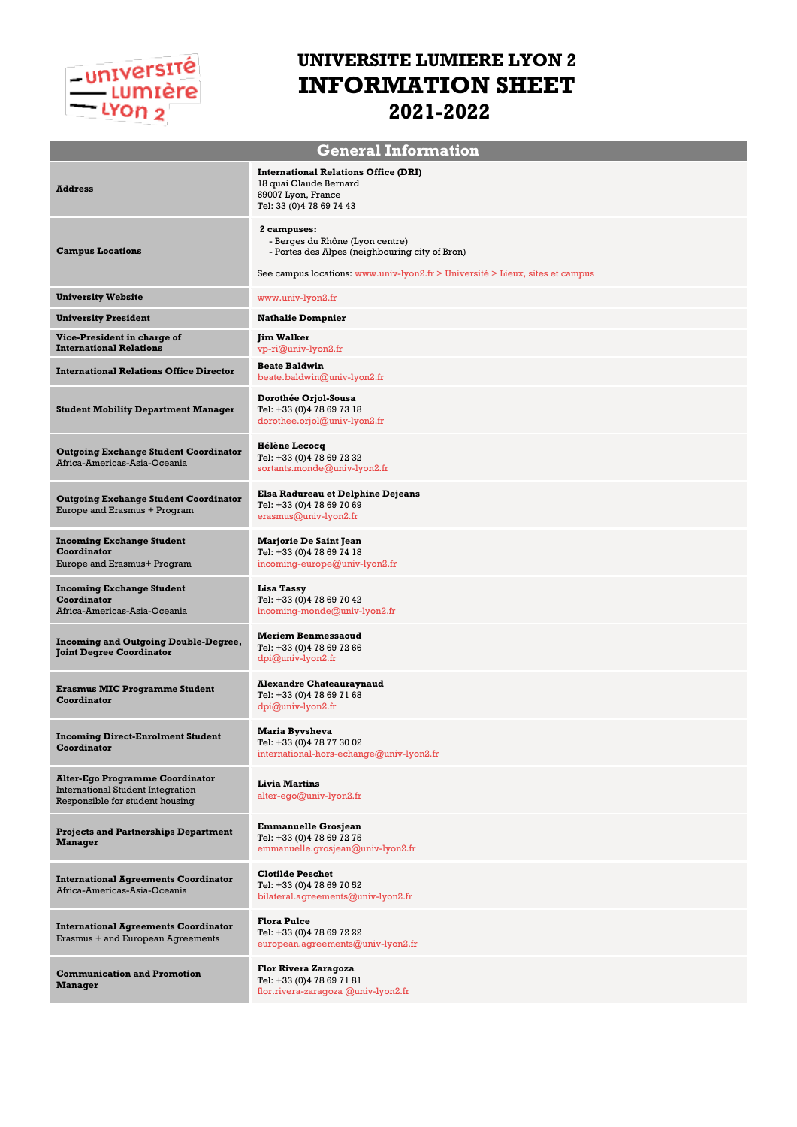# -université<br>-- Lumière<br>-- Lyon 2

## **UNIVERSITE LUMIERE LYON 2 INFORMATION SHEET 2021-2022**

| <b>General Information</b>                                                                                            |                                                                                                                          |  |
|-----------------------------------------------------------------------------------------------------------------------|--------------------------------------------------------------------------------------------------------------------------|--|
| <b>Address</b>                                                                                                        | <b>International Relations Office (DRI)</b><br>18 quai Claude Bernard<br>69007 Lyon, France<br>Tel: 33 (0) 4 78 69 74 43 |  |
| <b>Campus Locations</b>                                                                                               | 2 campuses:<br>- Berges du Rhône (Lyon centre)<br>- Portes des Alpes (neighbouring city of Bron)                         |  |
|                                                                                                                       | See campus locations: www.univ-lyon2.fr > Université > Lieux, sites et campus                                            |  |
| <b>University Website</b>                                                                                             | www.univ-lyon2.fr                                                                                                        |  |
| <b>University President</b>                                                                                           | <b>Nathalie Dompnier</b>                                                                                                 |  |
| Vice-President in charge of<br><b>International Relations</b>                                                         | <b>Jim Walker</b><br>vp-ri@univ-lyon2.fr                                                                                 |  |
| <b>International Relations Office Director</b>                                                                        | <b>Beate Baldwin</b><br>beate.baldwin@univ-lyon2.fr                                                                      |  |
| <b>Student Mobility Department Manager</b>                                                                            | Dorothée Orjol-Sousa<br>Tel: +33 (0) 4 78 69 73 18<br>dorothee.orjol@univ-lyon2.fr                                       |  |
| <b>Outgoing Exchange Student Coordinator</b><br>Africa-Americas-Asia-Oceania                                          | <b>Hélène Lecocq</b><br>Tel: +33 (0)4 78 69 72 32<br>sortants.monde@univ-lyon2.fr                                        |  |
| <b>Outgoing Exchange Student Coordinator</b><br>Europe and Erasmus + Program                                          | Elsa Radureau et Delphine Dejeans<br>Tel: +33 (0) 4 78 69 70 69<br>$erasmus@univ-lyon2.fr$                               |  |
| <b>Incoming Exchange Student</b><br>Coordinator<br>Europe and Erasmus+ Program                                        | <b>Marjorie De Saint Jean</b><br>Tel: +33 (0) 4 78 69 74 18<br>incoming-europe@univ-lyon2.fr                             |  |
| <b>Incoming Exchange Student</b><br>Coordinator<br>Africa-Americas-Asia-Oceania                                       | Lisa Tassy<br>Tel: +33 (0) 4 78 69 70 42<br>incoming-monde@univ-lyon2.fr                                                 |  |
| <b>Incoming and Outgoing Double-Degree,</b><br><b>Joint Degree Coordinator</b>                                        | <b>Meriem Benmessaoud</b><br>Tel: +33 (0) 4 78 69 72 66<br>$dpi@univ-lyon2.fr$                                           |  |
| <b>Erasmus MIC Programme Student</b><br>Coordinator                                                                   | <b>Alexandre Chateauraynaud</b><br>Tel: +33 (0) 4 78 69 71 68<br>$dpi@univ-lyon2.fr$                                     |  |
| <b>Incoming Direct-Enrolment Student</b><br>Coordinator                                                               | <b>Maria Byvsheva</b><br>Tel: +33 (0)4 78 77 30 02<br>international-hors-echange@univ-lyon2.fr                           |  |
| <b>Alter-Ego Programme Coordinator</b><br><b>International Student Integration</b><br>Responsible for student housing | <b>Livia Martins</b><br>alter-ego@univ-lyon2.fr                                                                          |  |
| <b>Projects and Partnerships Department</b><br><b>Manager</b>                                                         | <b>Emmanuelle Grosjean</b><br>Tel: +33 (0) 4 78 69 72 75<br>emmanuelle.grosjean@univ-lyon2.fr                            |  |
| <b>International Agreements Coordinator</b><br>Africa-Americas-Asia-Oceania                                           | <b>Clotilde Peschet</b><br>Tel: +33 (0) 4 78 69 70 52<br>bilateral.agreements@univ-lyon2.fr                              |  |
| <b>International Agreements Coordinator</b><br>Erasmus + and European Agreements                                      | <b>Flora Pulce</b><br>Tel: +33 (0) 4 78 69 72 22<br>european.agreements@univ-lyon2.fr                                    |  |
| <b>Communication and Promotion</b><br><b>Manager</b>                                                                  | Flor Rivera Zaragoza<br>Tel: +33 (0) 4 78 69 71 81<br>flor.rivera-zaragoza @univ-lyon2.fr                                |  |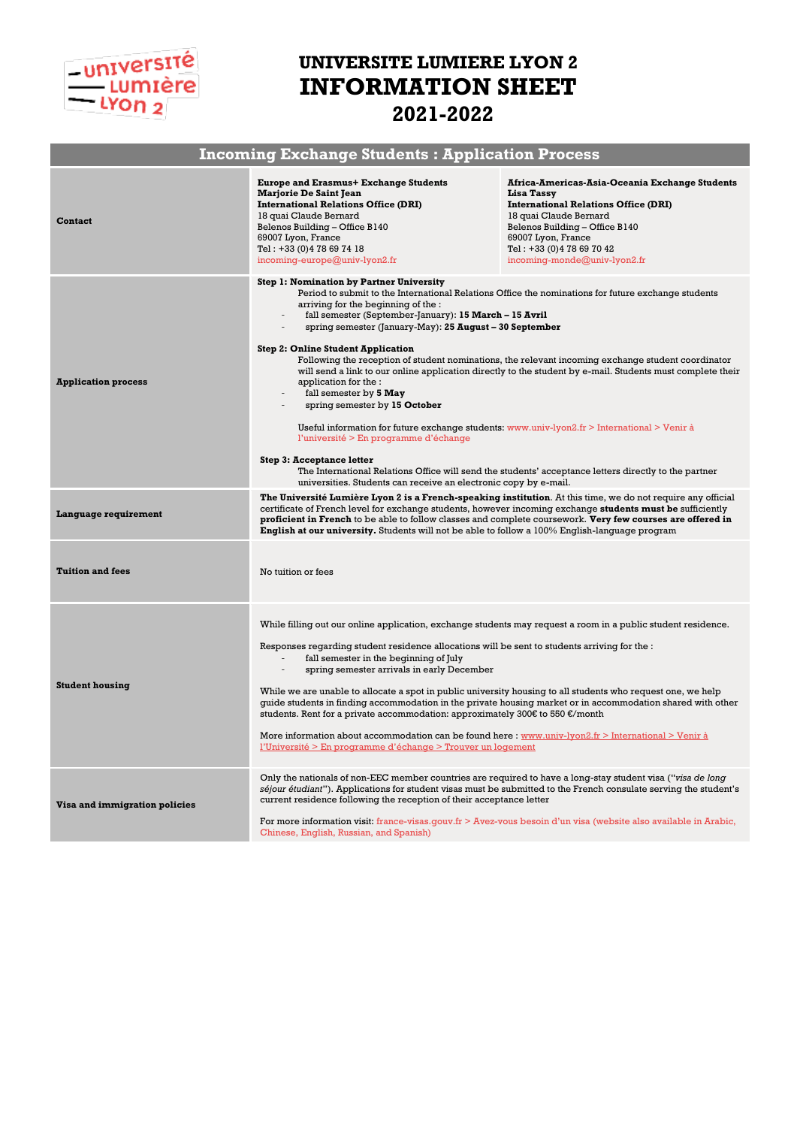

## **UNIVERSITE LUMIERE LYON 2 INFORMATION SHEET 2021-2022**

| <b>Incoming Exchange Students: Application Process</b> |                                                                                                                                                                                                                                                                                                                                                                                                                                                                                                                                                                                                                                                                                                                                                                                                                                                                                                                                                                                                                                     |                                                                                                                                                                                                                                                             |  |  |
|--------------------------------------------------------|-------------------------------------------------------------------------------------------------------------------------------------------------------------------------------------------------------------------------------------------------------------------------------------------------------------------------------------------------------------------------------------------------------------------------------------------------------------------------------------------------------------------------------------------------------------------------------------------------------------------------------------------------------------------------------------------------------------------------------------------------------------------------------------------------------------------------------------------------------------------------------------------------------------------------------------------------------------------------------------------------------------------------------------|-------------------------------------------------------------------------------------------------------------------------------------------------------------------------------------------------------------------------------------------------------------|--|--|
| <b>Contact</b>                                         | <b>Europe and Erasmus+ Exchange Students</b><br><b>Marjorie De Saint Jean</b><br><b>International Relations Office (DRI)</b><br>18 quai Claude Bernard<br>Belenos Building - Office B140<br>69007 Lyon, France<br>Tel: +33 (0) 4 78 69 74 18<br>incoming-europe@univ-lyon2.fr                                                                                                                                                                                                                                                                                                                                                                                                                                                                                                                                                                                                                                                                                                                                                       | Africa-Americas-Asia-Oceania Exchange Students<br>Lisa Tassy<br><b>International Relations Office (DRI)</b><br>18 quai Claude Bernard<br>Belenos Building - Office B140<br>69007 Lyon, France<br>Tel: +33 (0) 4 78 69 70 42<br>incoming-monde@univ-lyon2.fr |  |  |
| <b>Application process</b>                             | <b>Step 1: Nomination by Partner University</b><br>Period to submit to the International Relations Office the nominations for future exchange students<br>arriving for the beginning of the :<br>fall semester (September-January): 15 March - 15 Avril<br>spring semester (January-May): 25 August - 30 September<br><b>Step 2: Online Student Application</b><br>Following the reception of student nominations, the relevant incoming exchange student coordinator<br>will send a link to our online application directly to the student by e-mail. Students must complete their<br>application for the :<br>fall semester by 5 May<br>spring semester by 15 October<br>Useful information for future exchange students: $www.univ-lyon2.fr > International > Venir à$<br>l'université > En programme d'échange<br><b>Step 3: Acceptance letter</b><br>The International Relations Office will send the students' acceptance letters directly to the partner<br>universities. Students can receive an electronic copy by e-mail. |                                                                                                                                                                                                                                                             |  |  |
| Language requirement                                   | <b>The Université Lumière Lyon 2 is a French-speaking institution</b> . At this time, we do not require any official<br>certificate of French level for exchange students, however incoming exchange students must be sufficiently<br>proficient in French to be able to follow classes and complete coursework. Very few courses are offered in<br>English at our university. Students will not be able to follow a 100% English-language program                                                                                                                                                                                                                                                                                                                                                                                                                                                                                                                                                                                  |                                                                                                                                                                                                                                                             |  |  |
| <b>Tuition and fees</b>                                | No tuition or fees                                                                                                                                                                                                                                                                                                                                                                                                                                                                                                                                                                                                                                                                                                                                                                                                                                                                                                                                                                                                                  |                                                                                                                                                                                                                                                             |  |  |
| <b>Student housing</b>                                 | While filling out our online application, exchange students may request a room in a public student residence.<br>Responses regarding student residence allocations will be sent to students arriving for the :<br>fall semester in the beginning of July<br>spring semester arrivals in early December<br>While we are unable to allocate a spot in public university housing to all students who request one, we help<br>quide students in finding accommodation in the private housing market or in accommodation shared with other<br>students. Rent for a private accommodation: approximately 300€ to 550 €/month<br>More information about accommodation can be found here : www.univ-lyon2.fr > International > Venir à<br><u>l'Université &gt; En programme d'échange &gt; Trouver un logement</u>                                                                                                                                                                                                                          |                                                                                                                                                                                                                                                             |  |  |
| Visa and immigration policies                          | Only the nationals of non-EEC member countries are required to have a long-stay student visa ("visa de long<br>séjour étudiant"). Applications for student visas must be submitted to the French consulate serving the student's<br>current residence following the reception of their acceptance letter<br>For more information visit: france-visas.gouv.fr $>$ Avez-vous besoin d'un visa (website also available in Arabic,<br>Chinese, English, Russian, and Spanish)                                                                                                                                                                                                                                                                                                                                                                                                                                                                                                                                                           |                                                                                                                                                                                                                                                             |  |  |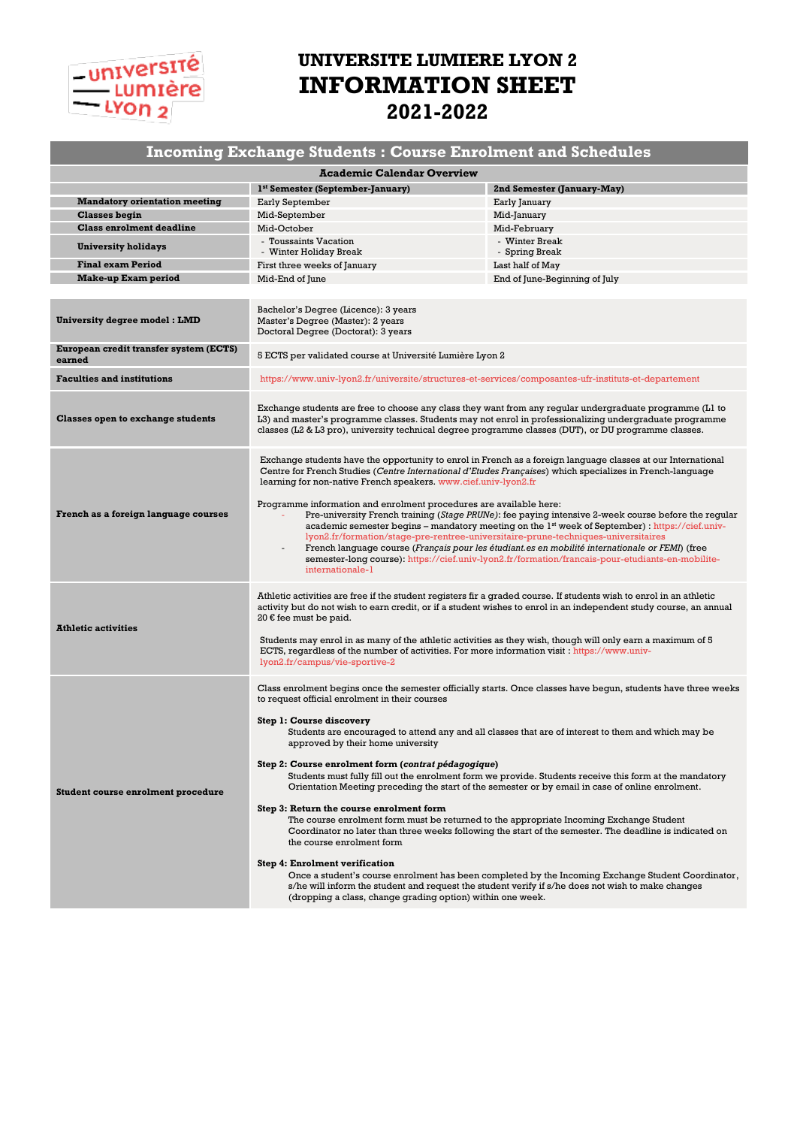## -université  $\frac{L}{2}$  Lumrère

## **UNIVERSITE LUMIERE LYON 2 INFORMATION SHEET 2021-2022**

#### **Incoming Exchange Students : Course Enrolment and Schedules**

| <b>Academic Calendar Overview</b>                |                                                                                                                                                                                                                                                                                                                                                                                                                                                                                                                                                                                                                                                                                                                                                                                                                                                                                                                                                                                                                                                                                                                                                                                                                        |                                  |  |  |
|--------------------------------------------------|------------------------------------------------------------------------------------------------------------------------------------------------------------------------------------------------------------------------------------------------------------------------------------------------------------------------------------------------------------------------------------------------------------------------------------------------------------------------------------------------------------------------------------------------------------------------------------------------------------------------------------------------------------------------------------------------------------------------------------------------------------------------------------------------------------------------------------------------------------------------------------------------------------------------------------------------------------------------------------------------------------------------------------------------------------------------------------------------------------------------------------------------------------------------------------------------------------------------|----------------------------------|--|--|
|                                                  | 1 <sup>st</sup> Semester (September-January)                                                                                                                                                                                                                                                                                                                                                                                                                                                                                                                                                                                                                                                                                                                                                                                                                                                                                                                                                                                                                                                                                                                                                                           | 2nd Semester (January-May)       |  |  |
| <b>Mandatory orientation meeting</b>             | Early September                                                                                                                                                                                                                                                                                                                                                                                                                                                                                                                                                                                                                                                                                                                                                                                                                                                                                                                                                                                                                                                                                                                                                                                                        | Early January                    |  |  |
| <b>Classes begin</b>                             | Mid-September                                                                                                                                                                                                                                                                                                                                                                                                                                                                                                                                                                                                                                                                                                                                                                                                                                                                                                                                                                                                                                                                                                                                                                                                          | Mid-January                      |  |  |
| <b>Class enrolment deadline</b>                  | Mid-October                                                                                                                                                                                                                                                                                                                                                                                                                                                                                                                                                                                                                                                                                                                                                                                                                                                                                                                                                                                                                                                                                                                                                                                                            | Mid-February                     |  |  |
| <b>University holidays</b>                       | - Toussaints Vacation<br>- Winter Holiday Break                                                                                                                                                                                                                                                                                                                                                                                                                                                                                                                                                                                                                                                                                                                                                                                                                                                                                                                                                                                                                                                                                                                                                                        | - Winter Break<br>- Spring Break |  |  |
| <b>Final exam Period</b>                         | First three weeks of January                                                                                                                                                                                                                                                                                                                                                                                                                                                                                                                                                                                                                                                                                                                                                                                                                                                                                                                                                                                                                                                                                                                                                                                           | Last half of May                 |  |  |
| <b>Make-up Exam period</b>                       | Mid-End of June                                                                                                                                                                                                                                                                                                                                                                                                                                                                                                                                                                                                                                                                                                                                                                                                                                                                                                                                                                                                                                                                                                                                                                                                        | End of June-Beginning of July    |  |  |
|                                                  |                                                                                                                                                                                                                                                                                                                                                                                                                                                                                                                                                                                                                                                                                                                                                                                                                                                                                                                                                                                                                                                                                                                                                                                                                        |                                  |  |  |
| <b>University degree model : LMD</b>             | Bachelor's Degree (Licence): 3 years<br>Master's Degree (Master): 2 years<br>Doctoral Degree (Doctorat): 3 years                                                                                                                                                                                                                                                                                                                                                                                                                                                                                                                                                                                                                                                                                                                                                                                                                                                                                                                                                                                                                                                                                                       |                                  |  |  |
| European credit transfer system (ECTS)<br>earned | 5 ECTS per validated course at Université Lumière Lyon 2                                                                                                                                                                                                                                                                                                                                                                                                                                                                                                                                                                                                                                                                                                                                                                                                                                                                                                                                                                                                                                                                                                                                                               |                                  |  |  |
| <b>Faculties and institutions</b>                | https://www.univ-lyon2.fr/universite/structures-et-services/composantes-ufr-instituts-et-departement                                                                                                                                                                                                                                                                                                                                                                                                                                                                                                                                                                                                                                                                                                                                                                                                                                                                                                                                                                                                                                                                                                                   |                                  |  |  |
| <b>Classes open to exchange students</b>         | Exchange students are free to choose any class they want from any regular undergraduate programme (L1 to<br>L3) and master's programme classes. Students may not enrol in professionalizing undergraduate programme<br>classes (L2 & L3 pro), university technical degree programme classes (DUT), or DU programme classes.                                                                                                                                                                                                                                                                                                                                                                                                                                                                                                                                                                                                                                                                                                                                                                                                                                                                                            |                                  |  |  |
| French as a foreign language courses             | Exchange students have the opportunity to enrol in French as a foreign language classes at our International<br>Centre for French Studies (Centre International d'Etudes Françaises) which specializes in French-language<br>learning for non-native French speakers. www.cief.univ-lyon2.fr<br>Programme information and enrolment procedures are available here:<br>Pre-university French training (Stage PRUNe): fee paying intensive 2-week course before the regular<br>academic semester begins – mandatory meeting on the $1st$ week of September) : https://cief.univ-<br>lyon2.fr/formation/stage-pre-rentree-universitaire-prune-techniques-universitaires<br>French language course (Français pour les étudiant es en mobilité internationale or FEMI) (free<br>semester-long course): https://cief.univ-lyon2.fr/formation/francais-pour-etudiants-en-mobilite-<br>internationale-1                                                                                                                                                                                                                                                                                                                        |                                  |  |  |
| <b>Athletic activities</b>                       | Athletic activities are free if the student registers fir a graded course. If students wish to enrol in an athletic<br>activity but do not wish to earn credit, or if a student wishes to enrol in an independent study course, an annual<br>20 € fee must be paid.<br>Students may enrol in as many of the athletic activities as they wish, though will only earn a maximum of 5<br>ECTS, regardless of the number of activities. For more information visit: https://www.univ-<br>lyon2.fr/campus/vie-sportive-2                                                                                                                                                                                                                                                                                                                                                                                                                                                                                                                                                                                                                                                                                                    |                                  |  |  |
| Student course enrolment procedure               | Class enrolment begins once the semester officially starts. Once classes have begun, students have three weeks<br>to request official enrolment in their courses<br><b>Step 1: Course discovery</b><br>Students are encouraged to attend any and all classes that are of interest to them and which may be<br>approved by their home university<br>Step 2: Course enrolment form (contrat pédagogique)<br>Students must fully fill out the enrolment form we provide. Students receive this form at the mandatory<br>Orientation Meeting preceding the start of the semester or by email in case of online enrolment.<br>Step 3: Return the course enrolment form<br>The course enrolment form must be returned to the appropriate Incoming Exchange Student<br>Coordinator no later than three weeks following the start of the semester. The deadline is indicated on<br>the course enrolment form<br><b>Step 4: Enrolment verification</b><br>Once a student's course enrolment has been completed by the Incoming Exchange Student Coordinator,<br>s/he will inform the student and request the student verify if s/he does not wish to make changes<br>(dropping a class, change grading option) within one week. |                                  |  |  |